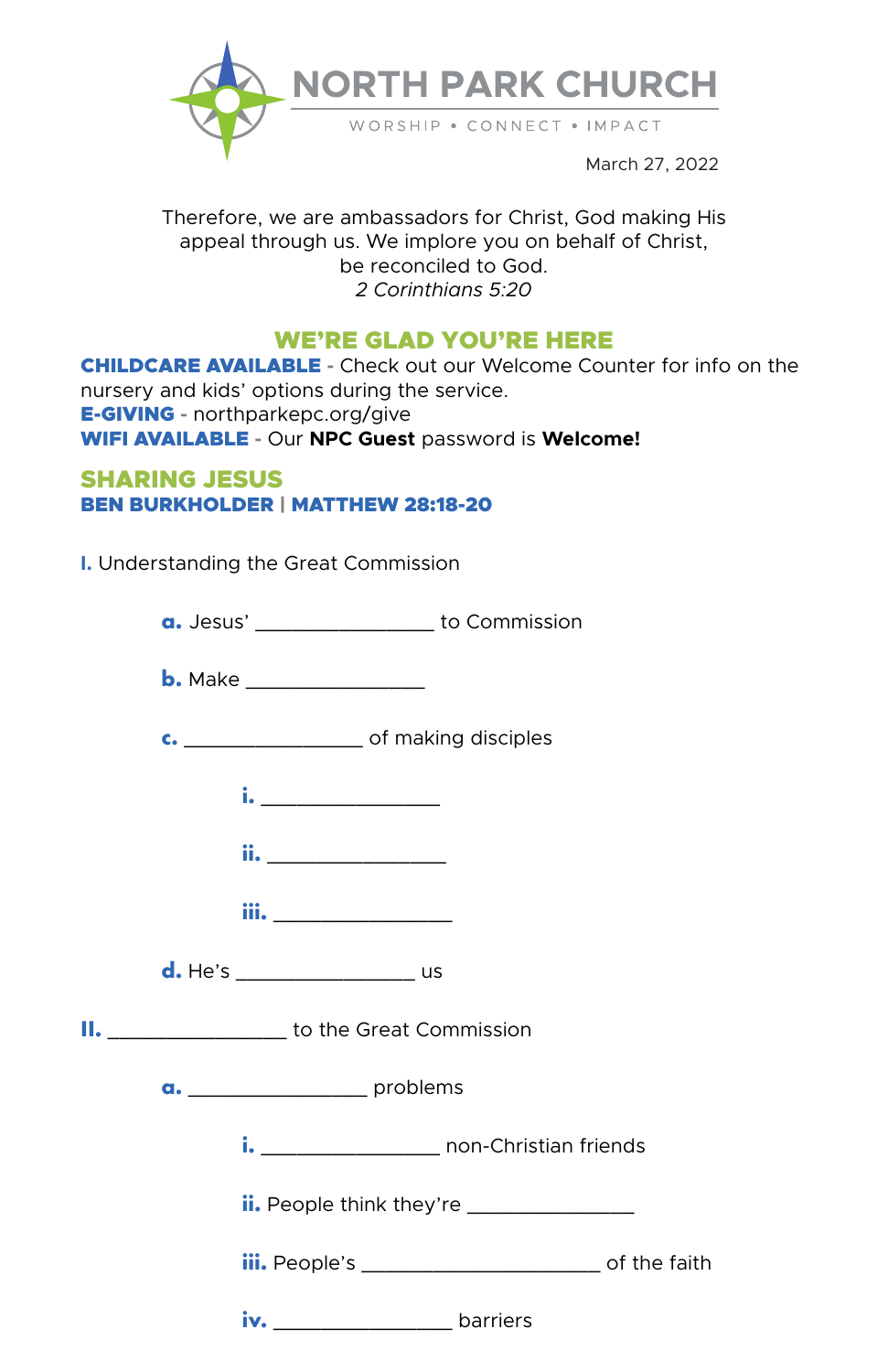

March 27, 2022

Therefore, we are ambassadors for Christ, God making His appeal through us. We implore you on behalf of Christ, be reconciled to God. *2 Corinthians 5:20*

# WE'RE GLAD YOU'RE HERE

CHILDCARE AVAILABLE **-** Check out our Welcome Counter for info on the nursery and kids' options during the service. E-GIVING **-** northparkepc.org/give WIFI AVAILABLE **-** Our **NPC Guest** password is **Welcome!**

# SHARING JESUS BEN BURKHOLDER | MATTHEW 28:18-20

**I.** Understanding the Great Commission

|                                     | a. Jesus' _____________________ to Commission                |  |  |
|-------------------------------------|--------------------------------------------------------------|--|--|
|                                     |                                                              |  |  |
|                                     |                                                              |  |  |
|                                     | <u>i. _________________</u>                                  |  |  |
|                                     | <u>ii. _______________</u>                                   |  |  |
|                                     | <b>iii.</b> _________________                                |  |  |
|                                     | d. He's _______________________ us                           |  |  |
|                                     | II. ____________________ to the Great Commission             |  |  |
| a. _______________________ problems |                                                              |  |  |
|                                     | i. ________________________ non-Christian friends            |  |  |
|                                     | <b>ii.</b> People think they're ________________             |  |  |
|                                     | iii. People's _________________________________ of the faith |  |  |
|                                     | iv. _______________________barriers                          |  |  |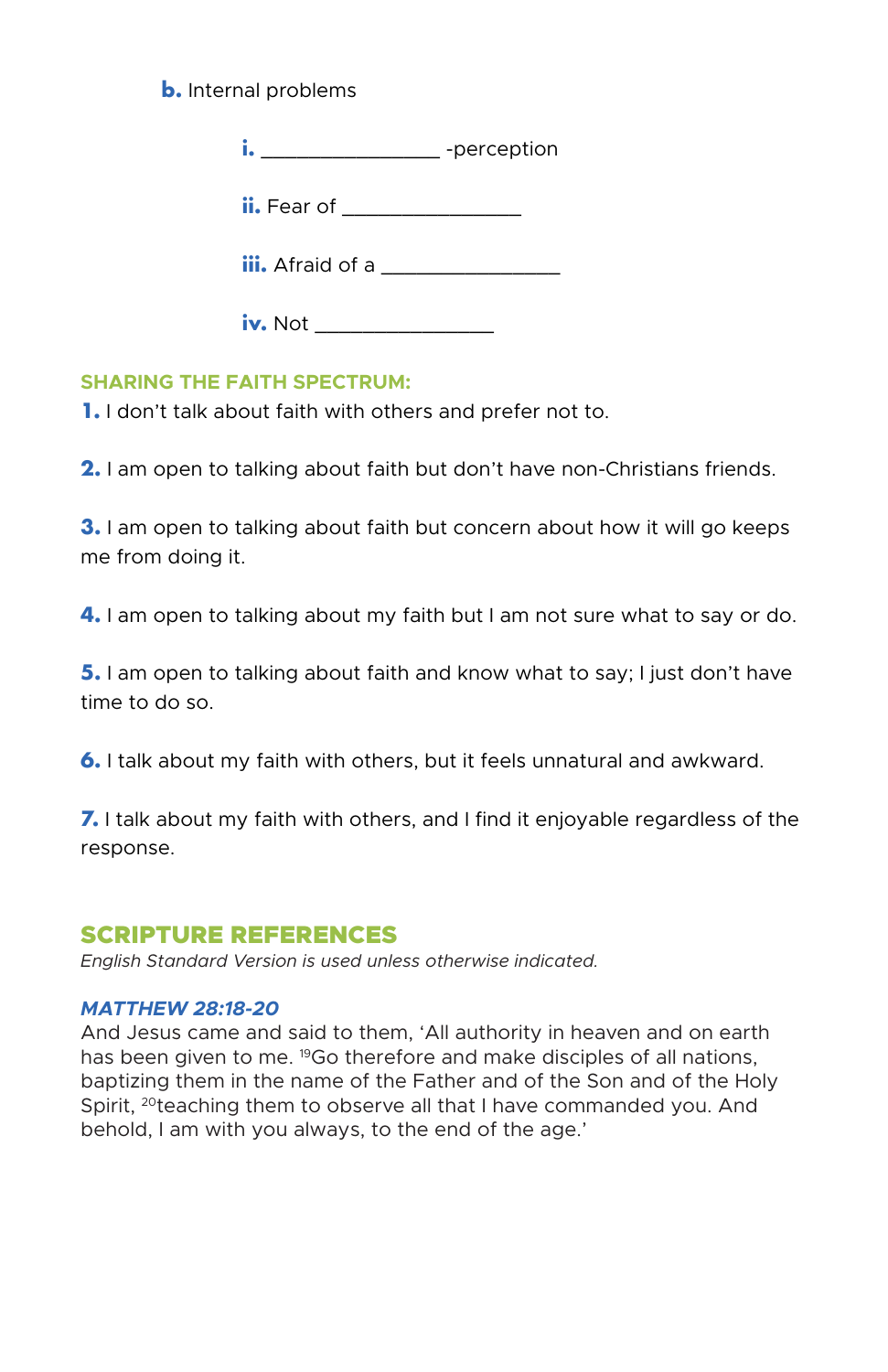# **b.** Internal problems

**i.** \_\_\_\_\_\_\_\_\_\_\_\_\_\_\_\_\_\_\_\_ -perception

**ii.** Fear of \_\_\_\_\_\_\_\_\_\_\_\_\_\_\_\_\_

**iii.** Afraid of a

 **iv.** Not \_\_\_\_\_\_\_\_\_\_\_\_\_\_\_

## **SHARING THE FAITH SPECTRUM:**

**1.** I don't talk about faith with others and prefer not to.

**2.** I am open to talking about faith but don't have non-Christians friends.

**3.** I am open to talking about faith but concern about how it will go keeps me from doing it.

**4.** I am open to talking about my faith but I am not sure what to say or do.

**5.** I am open to talking about faith and know what to say; I just don't have time to do so.

**6.** I talk about my faith with others, but it feels unnatural and awkward.

**7.** I talk about my faith with others, and I find it enjoyable regardless of the response.

# SCRIPTURE REFERENCES

*English Standard Version is used unless otherwise indicated.*

## *MATTHEW 28:18-20*

And Jesus came and said to them, 'All authority in heaven and on earth has been given to me. <sup>19</sup>Go therefore and make disciples of all nations, baptizing them in the name of the Father and of the Son and of the Holy Spirit, <sup>20</sup>teaching them to observe all that I have commanded you. And behold, I am with you always, to the end of the age.'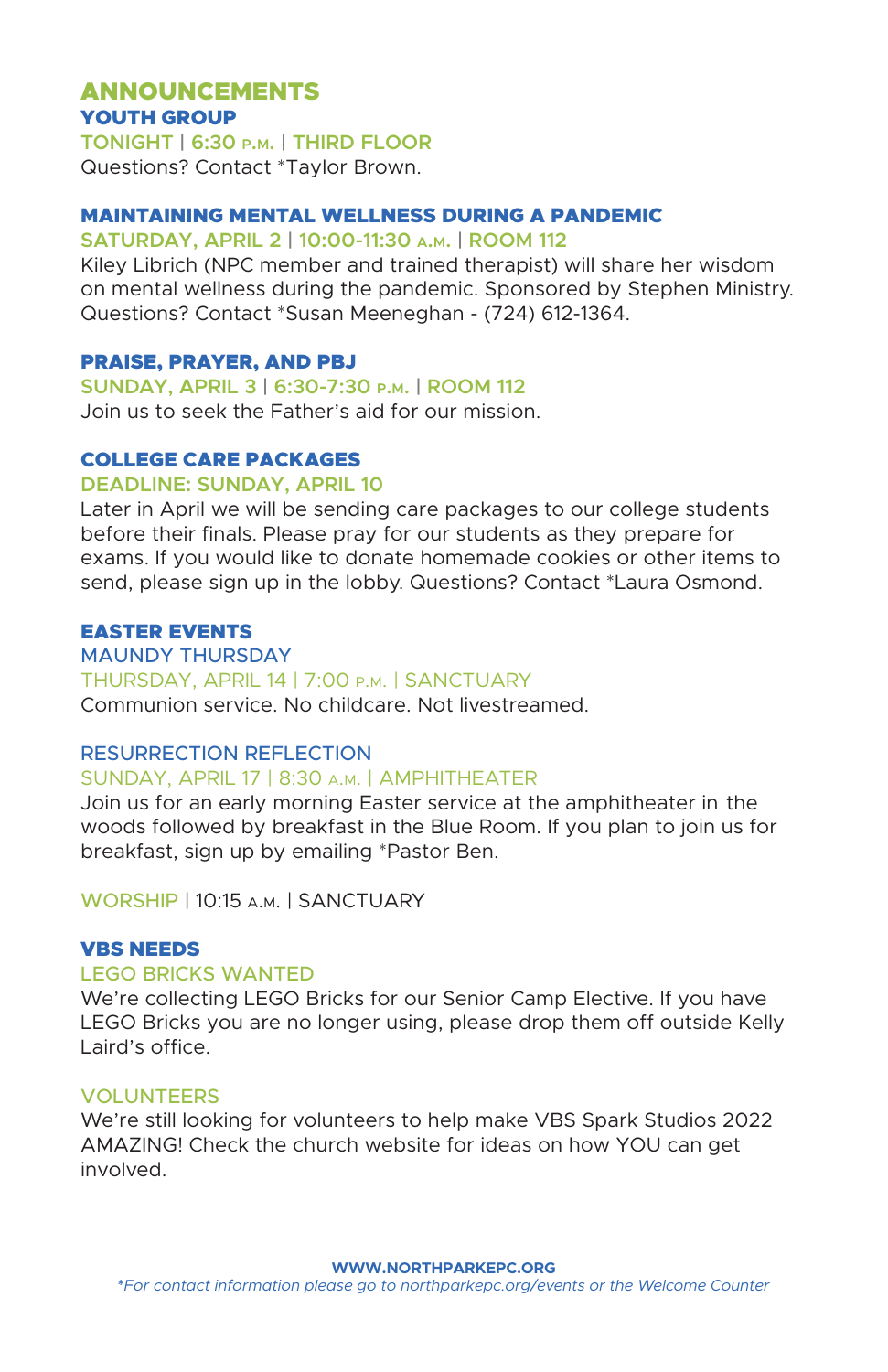# ANNOUNCEMENTS YOUTH GROUP

**TONIGHT | 6:30 p.m. | THIRD FLOOR** Questions? Contact \*Taylor Brown.

## MAINTAINING MENTAL WELLNESS DURING A PANDEMIC

#### **SATURDAY, APRIL 2 | 10:00-11:30 a.m. | ROOM 112**

Kiley Librich (NPC member and trained therapist) will share her wisdom on mental wellness during the pandemic. Sponsored by Stephen Ministry. Questions? Contact \*Susan Meeneghan - (724) 612-1364.

### PRAISE, PRAYER, AND PBJ

**SUNDAY, APRIL 3 | 6:30-7:30 p.m. | ROOM 112**

Join us to seek the Father's aid for our mission.

# COLLEGE CARE PACKAGES

**DEADLINE: SUNDAY, APRIL 10**

Later in April we will be sending care packages to our college students before their finals. Please pray for our students as they prepare for exams. If you would like to donate homemade cookies or other items to send, please sign up in the lobby. Questions? Contact \*Laura Osmond.

## EASTER EVENTS

MAUNDY THURSDAY THURSDAY, APRIL 14 | 7:00 p.m. | SANCTUARY Communion service. No childcare. Not livestreamed.

### RESURRECTION REFLECTION

## SUNDAY, APRIL 17 | 8:30 a.m. | AMPHITHEATER

Join us for an early morning Easter service at the amphitheater in the woods followed by breakfast in the Blue Room. If you plan to join us for breakfast, sign up by emailing \*Pastor Ben.

WORSHIP | 10:15 a.m. | SANCTUARY

### VBS NEEDS

## LEGO BRICKS WANTED

We're collecting LEGO Bricks for our Senior Camp Elective. If you have LEGO Bricks you are no longer using, please drop them off outside Kelly Laird's office.

## **VOLUNTEERS**

We're still looking for volunteers to help make VBS Spark Studios 2022 AMAZING! Check the church website for ideas on how YOU can get involved.